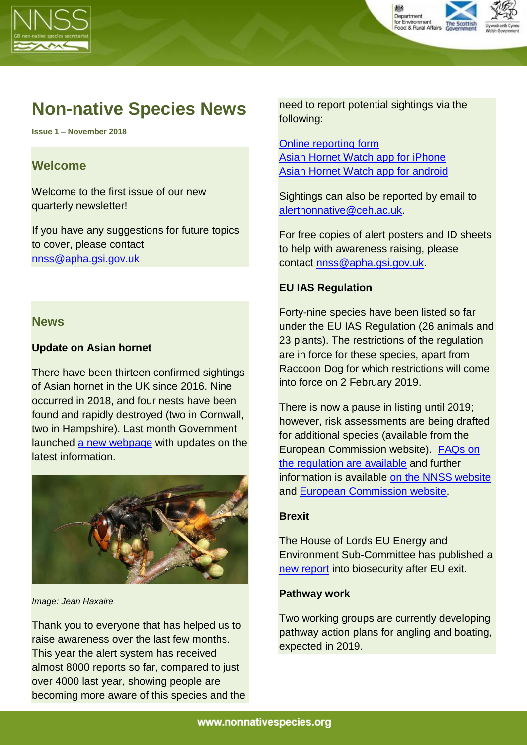



# **Non-native Species News**

**Issue 1 – November 2018**

## **Welcome**

Welcome to the first issue of our new quarterly newsletter!

If you have any suggestions for future topics to cover, please contact [nnss@apha.gsi.gov.uk](mailto:nnss@apha.gsi.gov.uk)

## **News**

## **Update on Asian hornet**

There have been thirteen confirmed sightings of Asian hornet in the UK since 2016. Nine occurred in 2018, and four nests have been found and rapidly destroyed (two in Cornwall, two in Hampshire). Last month Government launched [a new webpage](https://www.gov.uk/government/news/asian-hornet-uk-sightings-in-2018?utm_source=cec6c1f9-f157-4b1b-acee-779da3e783f3&utm_medium=email&utm_campaign=govuk-notifications&utm_content=immediate) with updates on the latest information.



*Image: Jean Haxaire*

Thank you to everyone that has helped us to raise awareness over the last few months. This year the alert system has received almost 8000 reports so far, compared to just over 4000 last year, showing people are becoming more aware of this species and the need to report potential sightings via the following:

[Online reporting](http://www.brc.ac.uk/risc/alert.php?species=asian_hornet) form [Asian Hornet Watch app for iPhone](https://itunes.apple.com/gb/app/asian-hornet-watch/id1161238813?mt=8) [Asian Hornet Watch app for android](https://play.google.com/store/apps/details?id=uk.ac.ceh.hornets)

Sightings can also be reported by email to [alertnonnative@ceh.ac.uk.](mailto:alertnonnative@ceh.ac.uk)

For free copies of alert posters and ID sheets to help with awareness raising, please contact [nnss@apha.gsi.gov.uk.](mailto:nnss@apha.gsi.gov.uk)

## **EU IAS Regulation**

Forty-nine species have been listed so far under the EU IAS Regulation (26 animals and 23 plants). The restrictions of the regulation are in force for these species, apart from Raccoon Dog for which restrictions will come into force on 2 February 2019.

There is now a pause in listing until 2019; however, risk assessments are being drafted for additional species (available from the European Commission website). [FAQs on](http://ec.europa.eu/environment/nature/invasivealien/index_en.htm)  [the regulation are available](http://ec.europa.eu/environment/nature/invasivealien/index_en.htm) and further information is available [on the NNSS website](http://www.nonnativespecies.org/index.cfm?sectionid=7) and [European Commission website.](http://ec.europa.eu/environment/nature/invasivealien/index_en.htm)

#### **Brexit**

The House of Lords EU Energy and Environment Sub-Committee has published a [new report](https://www.parliament.uk/business/committees/committees-a-z/lords-select/eu-energy-environment-subcommittee/news-parliament-2017/brexit-plant-animal-biosecurity-report/) into biosecurity after EU exit.

#### **Pathway work**

Two working groups are currently developing pathway action plans for angling and boating, expected in 2019.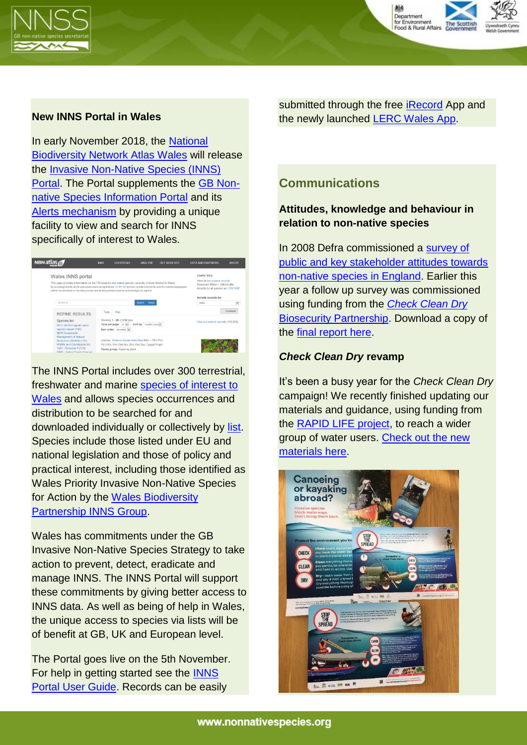



#### **New INNS Portal in Wales**

In early November 2018, the [National](https://wales.nbnatlas.org/)  [Biodiversity Network Atlas](https://wales.nbnatlas.org/) Wales will release the [Invasive Non-Native Species \(INNS\)](https://wales-species-inns.nbnatlas.org/)  [Portal.](https://wales-species-inns.nbnatlas.org/) The Portal supplements the [GB Non](http://www.nonnativespecies.org/factsheet/index.cfm)[native Species Information Portal](http://www.nonnativespecies.org/factsheet/index.cfm) and its [Alerts mechanism](http://www.nonnativespecies.org/alerts/index.cfm) by providing a unique facility to view and search for INNS specifically of interest to Wales.



The INNS Portal includes over 300 terrestrial, freshwater and marine [species of interest to](https://lists.nbnatlas.org/public/speciesLists)  [Wales](https://lists.nbnatlas.org/public/speciesLists) and allows species occurrences and distribution to be searched for and downloaded individually or collectively by [list.](https://docs.nbnatlas.org/invasive-non-native-species-portal/overview_inns-portal-species-lists/) Species include those listed under EU and national legislation and those of policy and practical interest, including those identified as Wales Priority Invasive Non-Native Species for Action by the [Wales Biodiversity](https://www.biodiversitywales.org.uk/Invasive-Non-Native-Species-Group)  [Partnership INNS Group.](https://www.biodiversitywales.org.uk/Invasive-Non-Native-Species-Group)

Wales has commitments under the GB Invasive Non-Native Species Strategy to take action to prevent, detect, eradicate and manage INNS. The INNS Portal will support these commitments by giving better access to INNS data. As well as being of help in Wales, the unique access to species via lists will be of benefit at GB, UK and European level.

The Portal goes live on the 5th November. For help in getting started see the [INNS](https://docs.nbnatlas.org/invasive-non-native-species-portal/overview_inns-portal-species-lists/)  [Portal User Guide.](https://docs.nbnatlas.org/invasive-non-native-species-portal/overview_inns-portal-species-lists/) Records can be easily

submitted through the free [iRecord](https://www.brc.ac.uk/irecord/) App and the newly launched [LERC Wales App.](https://www.lercwales.org.uk/app.php)

# **Communications**

## **Attitudes, knowledge and behaviour in relation to non-native species**

In 2008 Defra commissioned a [survey of](https://secure.fera.defra.gov.uk/nonnativespecies/downloadDocument.cfm?id=93)  [public and key stakeholder attitudes towards](https://secure.fera.defra.gov.uk/nonnativespecies/downloadDocument.cfm?id=93)  [non-native species in England.](https://secure.fera.defra.gov.uk/nonnativespecies/downloadDocument.cfm?id=93) Earlier this year a follow up survey was commissioned using funding from the *[Check Clean Dry](http://www.nonnativespecies.org/index.cfm?sectionid=140)* [Biosecurity Partnership.](http://www.nonnativespecies.org/index.cfm?sectionid=140) Download a copy of the [final report here.](https://secure.fera.defra.gov.uk/nonnativespecies/downloadDocument.cfm?id=1709)

#### *Check Clean Dry* **revamp**

It's been a busy year for the *Check Clean Dry* campaign! We recently finished updating our materials and guidance, using funding from the [RAPID LIFE project,](https://secure.fera.defra.gov.uk/nonnativespecies/index.cfm?sectionid=139) to reach a wider group of water users. Check out the new [materials here.](http://www.nonnativespecies.org/checkcleandry/help-support-the-campaign.cfm)

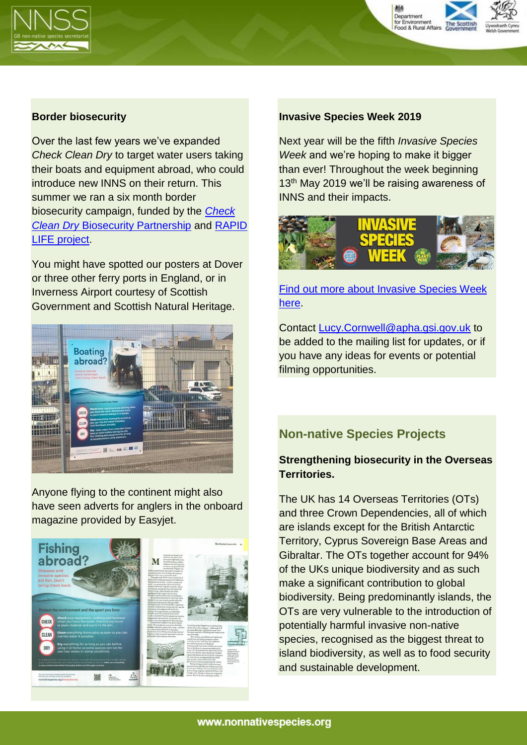



#### **Border biosecurity**

Over the last few years we've expanded *Check Clean Dry* to target water users taking their boats and equipment abroad, who could introduce new INNS on their return. This summer we ran a six month border biosecurity campaign, funded by the *[Check](http://www.nonnativespecies.org/index.cfm?sectionid=140)  Clean Dry* [Biosecurity Partnership](http://www.nonnativespecies.org/index.cfm?sectionid=140) and [RAPID](https://secure.fera.defra.gov.uk/nonnativespecies/index.cfm?sectionid=139)  [LIFE project.](https://secure.fera.defra.gov.uk/nonnativespecies/index.cfm?sectionid=139)

You might have spotted our posters at Dover or three other ferry ports in England, or in Inverness Airport courtesy of Scottish Government and Scottish Natural Heritage.



Anyone flying to the continent might also have seen adverts for anglers in the onboard magazine provided by Easyjet.



#### **Invasive Species Week 2019**

Next year will be the fifth *Invasive Species Week* and we're hoping to make it bigger than ever! Throughout the week beginning 13<sup>th</sup> May 2019 we'll be raising awareness of INNS and their impacts.



[Find out more about Invasive Species Week](https://secure.fera.defra.gov.uk/nonnativespecies/index.cfm?sectionid=132) [here.](https://secure.fera.defra.gov.uk/nonnativespecies/index.cfm?sectionid=132)

Contact [Lucy.Cornwell@apha.gsi.gov.uk](mailto:Lucy.Cornwell@apha.gsi.gov.uk) to be added to the mailing list for updates, or if you have any ideas for events or potential filming opportunities.

# **Non-native Species Projects**

## **Strengthening biosecurity in the Overseas Territories.**

The UK has 14 Overseas Territories (OTs) and three Crown Dependencies, all of which are islands except for the British Antarctic Territory, Cyprus Sovereign Base Areas and Gibraltar. The OTs together account for 94% of the UKs unique biodiversity and as such make a significant contribution to global biodiversity. Being predominantly islands, the OTs are very vulnerable to the introduction of potentially harmful invasive non-native species, recognised as the biggest threat to island biodiversity, as well as to food security and sustainable development.